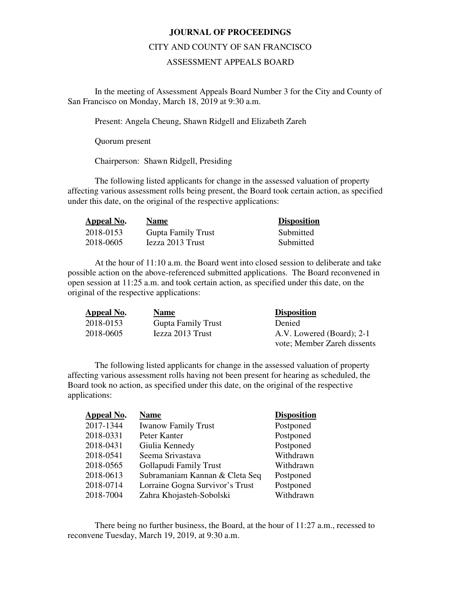## **JOURNAL OF PROCEEDINGS**

## CITY AND COUNTY OF SAN FRANCISCO

## ASSESSMENT APPEALS BOARD

 In the meeting of Assessment Appeals Board Number 3 for the City and County of San Francisco on Monday, March 18, 2019 at 9:30 a.m.

Present: Angela Cheung, Shawn Ridgell and Elizabeth Zareh

Quorum present

Chairperson: Shawn Ridgell, Presiding

The following listed applicants for change in the assessed valuation of property affecting various assessment rolls being present, the Board took certain action, as specified under this date, on the original of the respective applications:

| Appeal No. | <b>Name</b>               | <b>Disposition</b> |
|------------|---------------------------|--------------------|
| 2018-0153  | <b>Gupta Family Trust</b> | Submitted          |
| 2018-0605  | Jezza 2013 Trust          | Submitted          |

At the hour of 11:10 a.m. the Board went into closed session to deliberate and take possible action on the above-referenced submitted applications. The Board reconvened in open session at 11:25 a.m. and took certain action, as specified under this date, on the original of the respective applications:

| Appeal No. | <b>Name</b>               | <b>Disposition</b>          |
|------------|---------------------------|-----------------------------|
| 2018-0153  | <b>Gupta Family Trust</b> | Denied                      |
| 2018-0605  | Iezza 2013 Trust          | A.V. Lowered (Board); 2-1   |
|            |                           | vote; Member Zareh dissents |

The following listed applicants for change in the assessed valuation of property affecting various assessment rolls having not been present for hearing as scheduled, the Board took no action, as specified under this date, on the original of the respective applications:

| <b>Appeal No.</b> | <b>Name</b>                     | <b>Disposition</b> |
|-------------------|---------------------------------|--------------------|
| 2017-1344         | <b>Iwanow Family Trust</b>      | Postponed          |
| 2018-0331         | Peter Kanter                    | Postponed          |
| 2018-0431         | Giulia Kennedy                  | Postponed          |
| 2018-0541         | Seema Srivastava                | Withdrawn          |
| 2018-0565         | Gollapudi Family Trust          | Withdrawn          |
| 2018-0613         | Subramaniam Kannan & Cleta Seq  | Postponed          |
| 2018-0714         | Lorraine Gogna Survivor's Trust | Postponed          |
| 2018-7004         | Zahra Khojasteh-Sobolski        | Withdrawn          |

There being no further business, the Board, at the hour of 11:27 a.m., recessed to reconvene Tuesday, March 19, 2019, at 9:30 a.m.